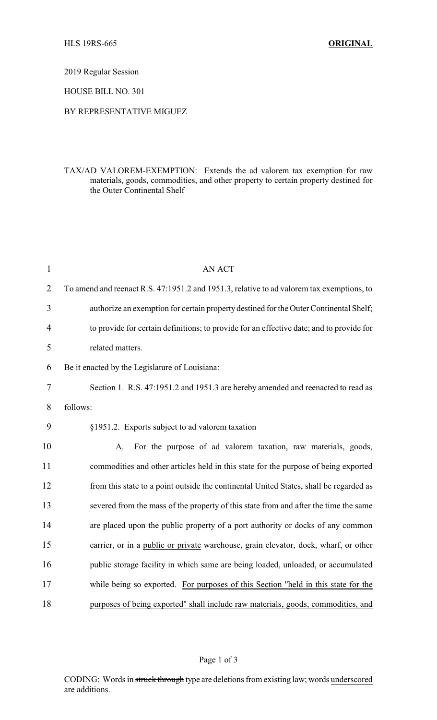2019 Regular Session

HOUSE BILL NO. 301

## BY REPRESENTATIVE MIGUEZ

## TAX/AD VALOREM-EXEMPTION: Extends the ad valorem tax exemption for raw materials, goods, commodities, and other property to certain property destined for the Outer Continental Shelf

| $\mathbf{1}$   | <b>AN ACT</b>                                                                             |
|----------------|-------------------------------------------------------------------------------------------|
| $\overline{2}$ | To amend and reenact R.S. 47:1951.2 and 1951.3, relative to ad valorem tax exemptions, to |
| 3              | authorize an exemption for certain property destined for the Outer Continental Shelf;     |
| 4              | to provide for certain definitions; to provide for an effective date; and to provide for  |
| 5              | related matters.                                                                          |
| 6              | Be it enacted by the Legislature of Louisiana:                                            |
| 7              | Section 1. R.S. 47:1951.2 and 1951.3 are hereby amended and reenacted to read as          |
| 8              | follows:                                                                                  |
| 9              | §1951.2. Exports subject to ad valorem taxation                                           |
| 10             | For the purpose of ad valorem taxation, raw materials, goods,<br>А.                       |
| 11             | commodities and other articles held in this state for the purpose of being exported       |
| 12             | from this state to a point outside the continental United States, shall be regarded as    |
| 13             | severed from the mass of the property of this state from and after the time the same      |
| 14             | are placed upon the public property of a port authority or docks of any common            |
| 15             | carrier, or in a public or private warehouse, grain elevator, dock, wharf, or other       |
| 16             | public storage facility in which same are being loaded, unloaded, or accumulated          |
| 17             | while being so exported. For purposes of this Section "held in this state for the         |
| 18             | purposes of being exported" shall include raw materials, goods, commodities, and          |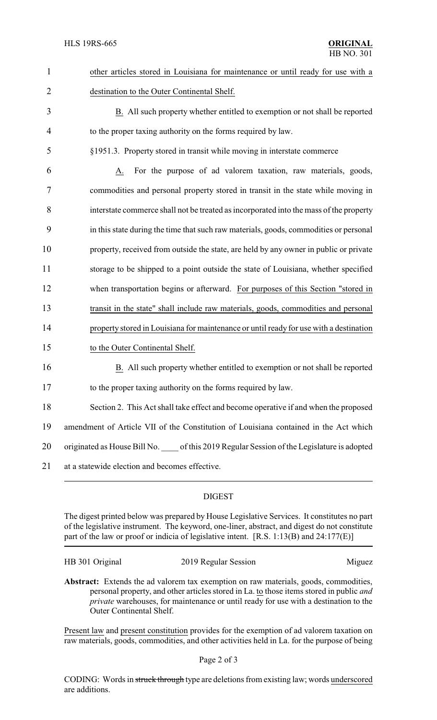| $\mathbf{1}$   | other articles stored in Louisiana for maintenance or until ready for use with a        |
|----------------|-----------------------------------------------------------------------------------------|
| $\overline{2}$ | destination to the Outer Continental Shelf.                                             |
| 3              | B. All such property whether entitled to exemption or not shall be reported             |
| $\overline{4}$ | to the proper taxing authority on the forms required by law.                            |
| 5              | §1951.3. Property stored in transit while moving in interstate commerce                 |
| 6              | For the purpose of ad valorem taxation, raw materials, goods,<br>A.                     |
| 7              | commodities and personal property stored in transit in the state while moving in        |
| 8              | interstate commerce shall not be treated as incorporated into the mass of the property  |
| 9              | in this state during the time that such raw materials, goods, commodities or personal   |
| 10             | property, received from outside the state, are held by any owner in public or private   |
| 11             | storage to be shipped to a point outside the state of Louisiana, whether specified      |
| 12             | when transportation begins or afterward. For purposes of this Section "stored in        |
| 13             | transit in the state" shall include raw materials, goods, commodities and personal      |
| 14             | property stored in Louisiana for maintenance or until ready for use with a destination  |
| 15             | to the Outer Continental Shelf.                                                         |
| 16             | B. All such property whether entitled to exemption or not shall be reported             |
| 17             | to the proper taxing authority on the forms required by law.                            |
| 18             | Section 2. This Act shall take effect and become operative if and when the proposed     |
| 19             | amendment of Article VII of the Constitution of Louisiana contained in the Act which    |
| 20             | originated as House Bill No. of this 2019 Regular Session of the Legislature is adopted |
| 21             | at a statewide election and becomes effective.                                          |
|                |                                                                                         |

## DIGEST

The digest printed below was prepared by House Legislative Services. It constitutes no part of the legislative instrument. The keyword, one-liner, abstract, and digest do not constitute part of the law or proof or indicia of legislative intent. [R.S. 1:13(B) and 24:177(E)]

HB 301 Original 2019 Regular Session Miguez

**Abstract:** Extends the ad valorem tax exemption on raw materials, goods, commodities, personal property, and other articles stored in La. to those items stored in public *and private* warehouses, for maintenance or until ready for use with a destination to the Outer Continental Shelf.

Present law and present constitution provides for the exemption of ad valorem taxation on raw materials, goods, commodities, and other activities held in La. for the purpose of being